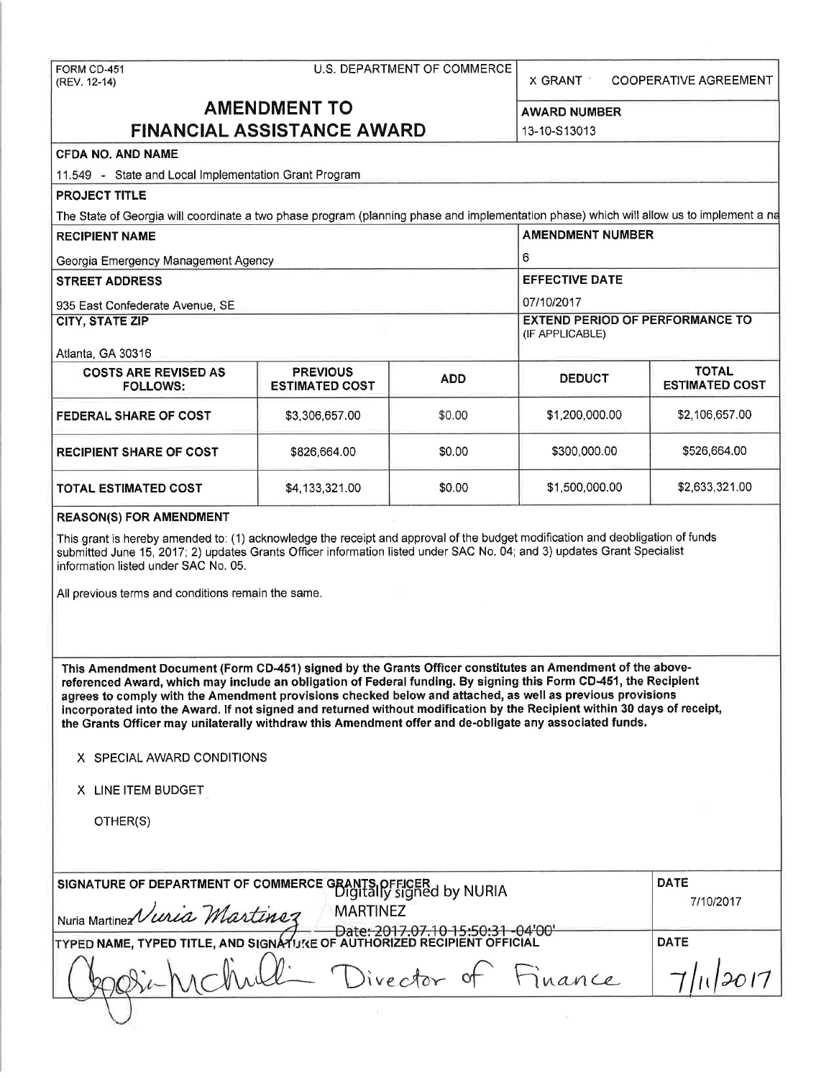FORM CD-451 (REV. 12-14)

X GRANT COOPERATIVE AGREEMENT

# **AMENDMENT TO FINANCIAL ASSISTANCE AWARD**

**AWARD NUMBER**  13-10-S13013

## **CFDA NO. AND NAME**

11 .549 - State and Local Implementation Grant Program

# **PROJECT TITLE**

The State of Georgia will coordinate a two phase program (planning phase and implementation phase) which will allow us to implement a na

| <b>RECIPIENT NAME</b>                          | <b>AMENDMENT NUMBER</b>                  |                                                           |                       |                                       |  |
|------------------------------------------------|------------------------------------------|-----------------------------------------------------------|-----------------------|---------------------------------------|--|
| Georgia Emergency Management Agency            |                                          | 6                                                         |                       |                                       |  |
| <b>STREET ADDRESS</b>                          |                                          |                                                           | <b>EFFECTIVE DATE</b> |                                       |  |
| 935 East Confederate Avenue, SE                |                                          | 07/10/2017                                                |                       |                                       |  |
| <b>CITY, STATE ZIP</b>                         |                                          | <b>EXTEND PERIOD OF PERFORMANCE TO</b><br>(IF APPLICABLE) |                       |                                       |  |
| Atlanta, GA 30316                              |                                          |                                                           |                       |                                       |  |
| <b>COSTS ARE REVISED AS</b><br><b>FOLLOWS:</b> | <b>PREVIOUS</b><br><b>ESTIMATED COST</b> | <b>ADD</b>                                                | <b>DEDUCT</b>         | <b>TOTAL</b><br><b>ESTIMATED COST</b> |  |
| <b>FEDERAL SHARE OF COST</b>                   | \$3,306,657.00                           | \$0.00                                                    | \$1,200,000.00        | \$2,106,657.00                        |  |
| <b>RECIPIENT SHARE OF COST</b>                 | \$826,664.00                             | \$0.00                                                    | \$300,000.00          | \$526,664.00                          |  |
| <b>TOTAL ESTIMATED COST</b>                    | \$4,133,321.00                           | \$0.00                                                    | \$1,500,000.00        | \$2,633,321.00                        |  |

### **REASON(S) FOR AMENDMENT**

This grant is hereby amended to: (1) acknowledge the receipt and approval of the budget modification and deobligation of funds submitted June 15, 2017; 2) updates Grants Officer information listed under SAC No. 04; and 3) updates Grant Specialist information listed under SAC No. 05.

All previous terms and conditions remain the same.

**This Amendment Document (Form CD-451) signed by the Grants Officer constitutes an Amendment of the abovereferenced Award, which may include an obligation of Federal funding. By signing this Form CD-451, the Recipient agrees to comply with the Amendment provisions checked below and attached, as well as previous provisions incorporated into the Award. If not signed and returned without modification by the Recipient within 30 days of receipt, the Grants Officer may unilaterally withdraw this Amendment offer and de-obligate any associated funds.** 

#### X SPECIAL AWARD CONDITIONS

X LINE ITEM BUDGET

OTHER(S)

 $\cup$ 

| SIGNATURE OF DEPARTMENT OF COMMERCE GRANTS OFFICER by NURIA                                              | <b>DATE</b><br>7/10/2017  |  |
|----------------------------------------------------------------------------------------------------------|---------------------------|--|
| Nuria Martinez Vuria Martinez<br>TYPED NAME, TYPED TITLE, AND SIGNATURE OF AUTHORIZED RECIPIENT OFFICIAL | <b>DATE</b>               |  |
|                                                                                                          | -hull Director of Finance |  |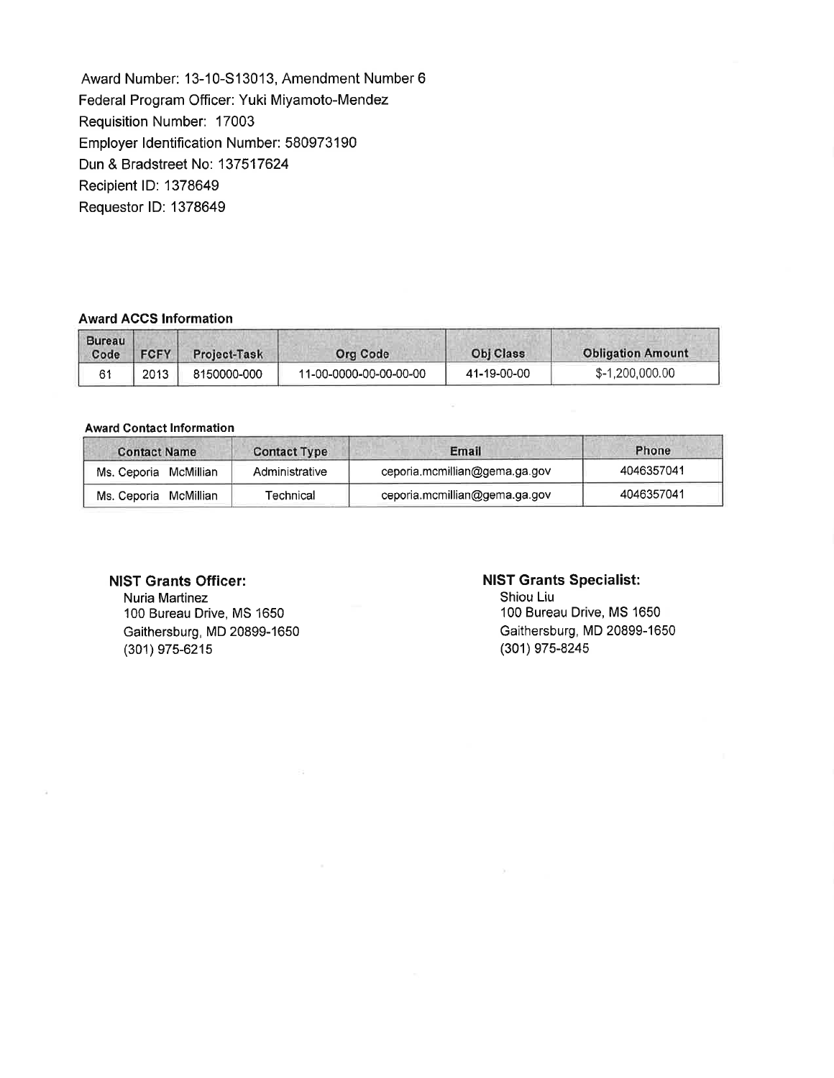Award Number: 13-10-S13013, Amendment Number 6 Federal Program Officer: Yuki Miyamoto-Mendez Requisition Number: 17003 Employer Identification Number: 580973190 Dun & Bradstreet No: 137517624 Recipient ID: 1378649 Requestor ID: 1378649

## **Award ACCS Information**

| <b>Bureau</b><br>Code | <b>FCFY</b> | <b>Project-Task</b> | Org Code               | Obj Class   | <b>Obligation Amount</b> |
|-----------------------|-------------|---------------------|------------------------|-------------|--------------------------|
|                       | 2013        | 8150000-000         | 11-00-0000-00-00-00-00 | 41-19-00-00 | \$-1,200,000.00          |

#### **Award Contact Information**

| <b>Contact Name</b>   | <b>Contact Type</b> | Email                         | Phone      |
|-----------------------|---------------------|-------------------------------|------------|
| Ms. Ceporia McMillian | Administrative      | ceporia.mcmillian@gema.ga.gov | 4046357041 |
| Ms. Ceporia McMillian | Technical           | ceporia.mcmillian@gema.ga.gov | 4046357041 |

#### **NIST Grants Officer:**

Nuria Martinez 100 Bureau Drive, MS 1650 Gaithersburg, MD 20899-1650 (301) 975-6215

# **NIST Grants Specialist:**

Shiou Liu 100 Bureau Drive, MS 1650 Gaithersburg, MD 20899-1650 (301) 975-8245